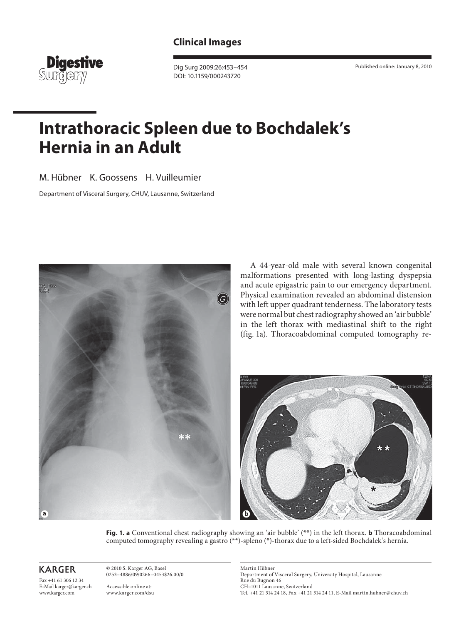

 Dig Surg 2009;26:453–454 DOI: 10.1159/000243720

Published online: January 8, 2010

## **Intrathoracic Spleen due to Bochdalek's Hernia in an Adult**

M. Hübner K. Goossens H. Vuilleumier

Department of Visceral Surgery, CHUV, Lausanne, Switzerland



 A 44-year-old male with several known congenital malformations presented with long-lasting dyspepsia and acute epigastric pain to our emergency department. Physical examination revealed an abdominal distension with left upper quadrant tenderness. The laboratory tests were normal but chest radiography showed an 'air bubble' in the left thorax with mediastinal shift to the right (fig. 1a). Thoracoabdominal computed tomography re-



**Fig. 1. a** Conventional chest radiography showing an 'air bubble' (\*\*) in the left thorax. **b** Thoracoabdominal computed tomography revealing a gastro (\*\*)-spleno (\*)-thorax due to a left-sided Bochdalek's hernia.

**KARGER** 

Fax +41 61 306 12 34 E-Mail karger@karger.ch www.karger.com

 © 2010 S. Karger AG, Basel 0253–4886/09/0266–0453\$26.00/0

 Accessible online at: www.karger.com/dsu  Martin Hübner Department of Visceral Surgery, University Hospital, Lausanne Rue du Bugnon 46 CH–1011 Lausanne, Switzerland Tel. +41 21 314 24 18, Fax +41 21 314 24 11, E-Mail martin.hubner @ chuv.ch